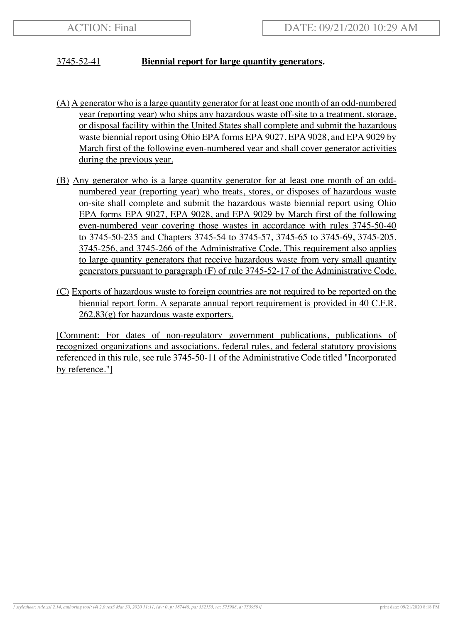## 3745-52-41 **Biennial report for large quantity generators.**

- (A) A generator who is a large quantity generator for at least one month of an odd-numbered year (reporting year) who ships any hazardous waste off-site to a treatment, storage, or disposal facility within the United States shall complete and submit the hazardous waste biennial report using Ohio EPA forms EPA 9027, EPA 9028, and EPA 9029 by March first of the following even-numbered year and shall cover generator activities during the previous year.
- (B) Any generator who is a large quantity generator for at least one month of an oddnumbered year (reporting year) who treats, stores, or disposes of hazardous waste on-site shall complete and submit the hazardous waste biennial report using Ohio EPA forms EPA 9027, EPA 9028, and EPA 9029 by March first of the following even-numbered year covering those wastes in accordance with rules 3745-50-40 to 3745-50-235 and Chapters 3745-54 to 3745-57, 3745-65 to 3745-69, 3745-205, 3745-256, and 3745-266 of the Administrative Code. This requirement also applies to large quantity generators that receive hazardous waste from very small quantity generators pursuant to paragraph (F) of rule 3745-52-17 of the Administrative Code.
- (C) Exports of hazardous waste to foreign countries are not required to be reported on the biennial report form. A separate annual report requirement is provided in 40 C.F.R.  $262.83(g)$  for hazardous waste exporters.

[Comment: For dates of non-regulatory government publications, publications of recognized organizations and associations, federal rules, and federal statutory provisions referenced in this rule, see rule 3745-50-11 of the Administrative Code titled "Incorporated by reference."]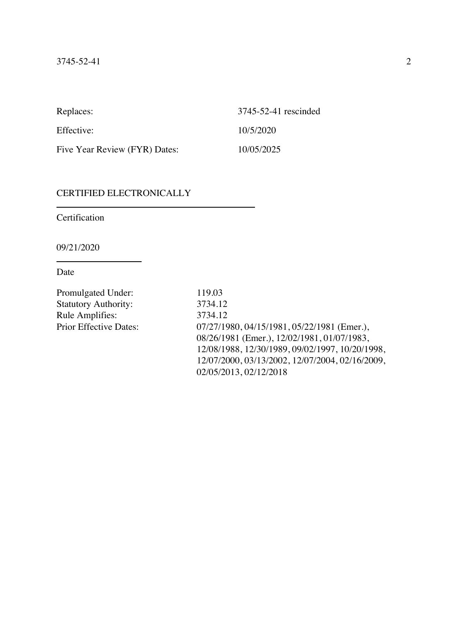| Replaces:                     | 3745-52-41 rescinded |
|-------------------------------|----------------------|
| Effective:                    | 10/5/2020            |
| Five Year Review (FYR) Dates: | 10/05/2025           |

# CERTIFIED ELECTRONICALLY

Certification

09/21/2020

Date

| 119.03                                          |
|-------------------------------------------------|
| 3734.12                                         |
| 3734.12                                         |
| 07/27/1980, 04/15/1981, 05/22/1981 (Emer.),     |
| 08/26/1981 (Emer.), 12/02/1981, 01/07/1983,     |
| 12/08/1988, 12/30/1989, 09/02/1997, 10/20/1998, |
| 12/07/2000, 03/13/2002, 12/07/2004, 02/16/2009, |
| 02/05/2013, 02/12/2018                          |
|                                                 |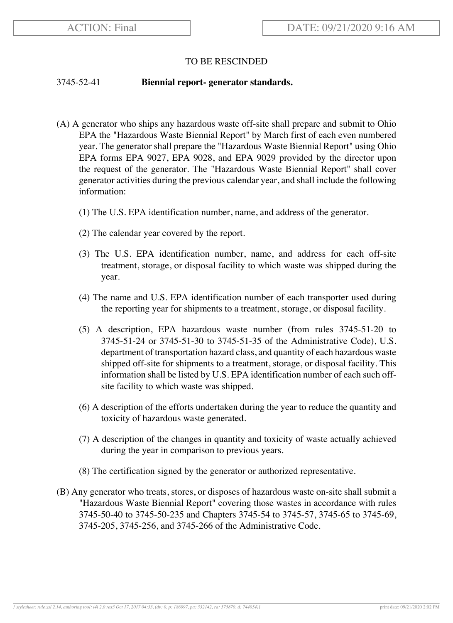### TO BE RESCINDED

#### 3745-52-41 **Biennial report- generator standards.**

- (A) A generator who ships any hazardous waste off-site shall prepare and submit to Ohio EPA the "Hazardous Waste Biennial Report" by March first of each even numbered year. The generator shall prepare the "Hazardous Waste Biennial Report" using Ohio EPA forms EPA 9027, EPA 9028, and EPA 9029 provided by the director upon the request of the generator. The "Hazardous Waste Biennial Report" shall cover generator activities during the previous calendar year, and shall include the following information:
	- (1) The U.S. EPA identification number, name, and address of the generator.
	- (2) The calendar year covered by the report.
	- (3) The U.S. EPA identification number, name, and address for each off-site treatment, storage, or disposal facility to which waste was shipped during the year.
	- (4) The name and U.S. EPA identification number of each transporter used during the reporting year for shipments to a treatment, storage, or disposal facility.
	- (5) A description, EPA hazardous waste number (from rules 3745-51-20 to 3745-51-24 or 3745-51-30 to 3745-51-35 of the Administrative Code), U.S. department of transportation hazard class, and quantity of each hazardous waste shipped off-site for shipments to a treatment, storage, or disposal facility. This information shall be listed by U.S. EPA identification number of each such offsite facility to which waste was shipped.
	- (6) A description of the efforts undertaken during the year to reduce the quantity and toxicity of hazardous waste generated.
	- (7) A description of the changes in quantity and toxicity of waste actually achieved during the year in comparison to previous years.
	- (8) The certification signed by the generator or authorized representative.
- (B) Any generator who treats, stores, or disposes of hazardous waste on-site shall submit a "Hazardous Waste Biennial Report" covering those wastes in accordance with rules 3745-50-40 to 3745-50-235 and Chapters 3745-54 to 3745-57, 3745-65 to 3745-69, 3745-205, 3745-256, and 3745-266 of the Administrative Code.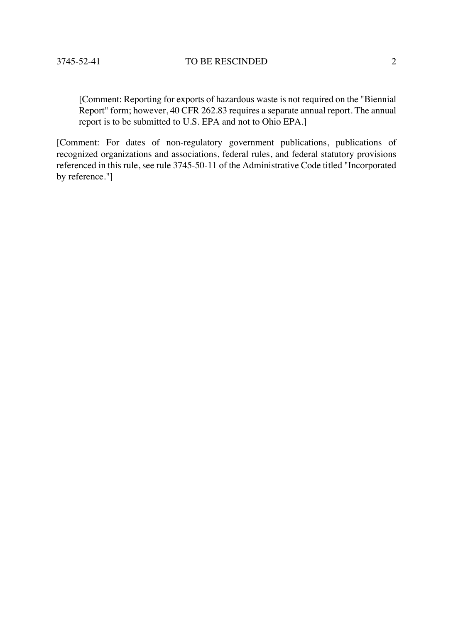[Comment: Reporting for exports of hazardous waste is not required on the "Biennial Report" form; however, 40 CFR 262.83 requires a separate annual report. The annual report is to be submitted to U.S. EPA and not to Ohio EPA.]

[Comment: For dates of non-regulatory government publications, publications of recognized organizations and associations, federal rules, and federal statutory provisions referenced in this rule, see rule 3745-50-11 of the Administrative Code titled "Incorporated by reference."]